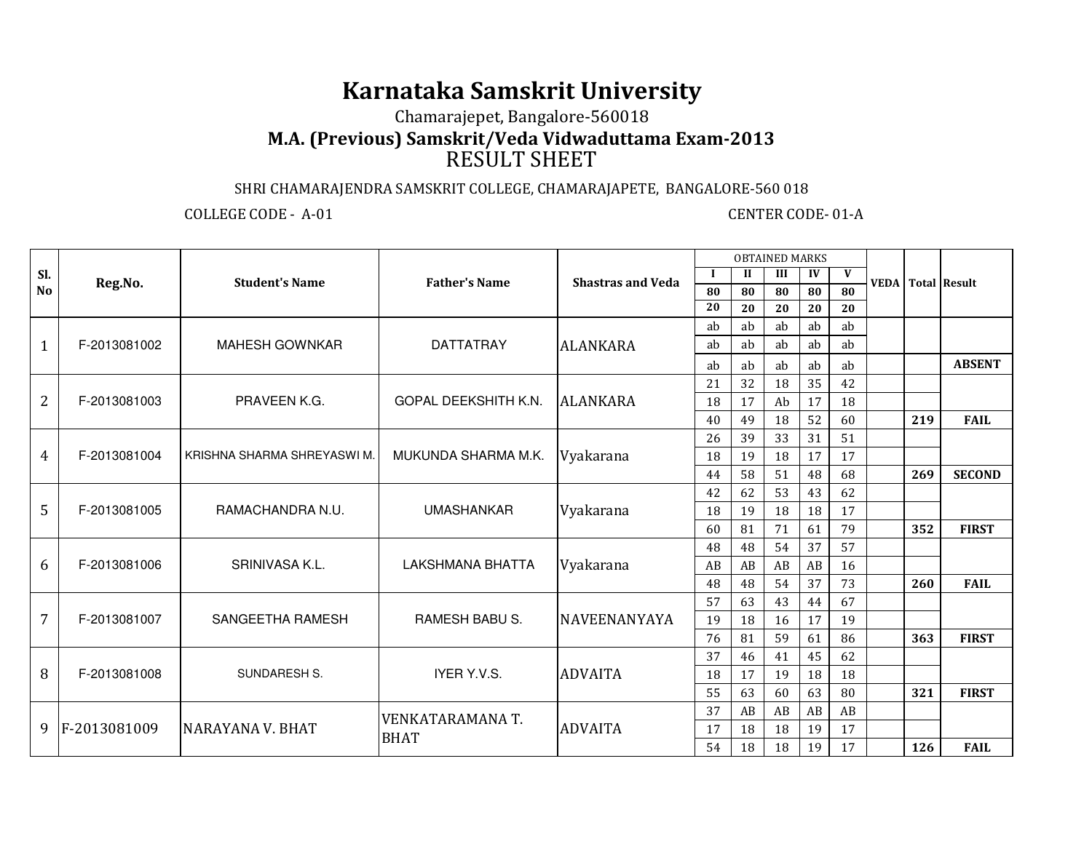## **Karnataka Samskrit University**

## Chamarajepet, Bangalore-560018

**M.A. (Previous) Samskrit/Veda Vidwaduttama Exam-2013**

## RESULT SHEET

## SHRI CHAMARAJENDRA SAMSKRIT COLLEGE, CHAMARAJAPETE, BANGALORE-560 018

COLLEGE CODE - A-01 CENTER CODE- 01-A

|                | Reg.No.      | <b>Student's Name</b>       |                      |                          | <b>OBTAINED MARKS</b>      |                      |     |    |    |  |                          |               |
|----------------|--------------|-----------------------------|----------------------|--------------------------|----------------------------|----------------------|-----|----|----|--|--------------------------|---------------|
| Sl.            |              |                             | <b>Father's Name</b> | <b>Shastras and Veda</b> | $\bf{l}$                   | $\mathbf{I}$         | III | IV | V  |  | <b>VEDA</b> Total Result |               |
| No             |              |                             |                      |                          | 80                         | 80                   | 80  | 80 | 80 |  |                          |               |
|                |              |                             |                      |                          | 20                         | 20                   | 20  | 20 | 20 |  |                          |               |
|                | F-2013081002 | <b>MAHESH GOWNKAR</b>       |                      |                          | ab                         | ab                   | ab  | ab | ab |  |                          |               |
| $\mathbf{1}$   |              |                             | <b>DATTATRAY</b>     | <b>ALANKARA</b>          | ab                         | ab                   | ab  | ab | ab |  |                          |               |
|                |              |                             |                      |                          | ab                         | ab                   | ab  | ab | ab |  |                          | <b>ABSENT</b> |
|                | F-2013081003 | PRAVEEN K.G.                |                      |                          | 21                         | 32                   | 18  | 35 | 42 |  |                          |               |
| $\overline{2}$ |              |                             | GOPAL DEEKSHITH K.N. | <b>ALANKARA</b>          | 18<br>17<br>Ab<br>17<br>18 |                      |     |    |    |  |                          |               |
|                |              |                             |                      |                          | 40                         | 49                   | 18  | 52 | 60 |  | 219                      | <b>FAIL</b>   |
|                | F-2013081004 | KRISHNA SHARMA SHREYASWI M. |                      |                          | 26                         | 39<br>33<br>31<br>51 |     |    |    |  |                          |               |
| 4              |              |                             | MUKUNDA SHARMA M.K.  | Vyakarana                | 18                         | 19                   | 18  | 17 | 17 |  |                          |               |
|                |              |                             |                      |                          | 44                         | 58                   | 51  | 48 | 68 |  | 269                      | <b>SECOND</b> |
|                | F-2013081005 | RAMACHANDRA N.U.            |                      |                          | 42                         | 62                   | 53  | 43 | 62 |  |                          |               |
| 5              |              |                             | <b>UMASHANKAR</b>    | Vyakarana                | 18                         | 19                   | 18  | 18 | 17 |  |                          |               |
|                |              |                             |                      |                          | 60                         | 81                   | 71  | 61 | 79 |  | 352                      | <b>FIRST</b>  |
|                |              |                             |                      |                          | 48                         | 48                   | 54  | 37 | 57 |  |                          |               |
| 6              | F-2013081006 | SRINIVASA K.L.              | LAKSHMANA BHATTA     | Vyakarana                | AB                         | AB                   | AB  | AB | 16 |  |                          |               |
|                |              |                             |                      |                          | 48                         | 48                   | 54  | 37 | 73 |  | 260                      | <b>FAIL</b>   |
|                | F-2013081007 | SANGEETHA RAMESH            | RAMESH BABU S.       | <b>NAVEENANYAYA</b>      | 57                         | 63                   | 43  | 44 | 67 |  |                          |               |
| 7              |              |                             |                      |                          | 19                         | 18                   | 16  | 17 | 19 |  |                          |               |
|                |              |                             |                      |                          | 76                         | 81                   | 59  | 61 | 86 |  | 363                      | <b>FIRST</b>  |
|                | F-2013081008 | SUNDARESH S.                |                      |                          | 37                         | 46                   | 41  | 45 | 62 |  |                          |               |
| 8              |              |                             | IYER Y.V.S.          | <b>ADVAITA</b>           | 18                         | 17                   | 19  | 18 | 18 |  |                          |               |
|                |              |                             |                      |                          | 55                         | 63                   | 60  | 63 | 80 |  | 321                      | <b>FIRST</b>  |
|                | F-2013081009 | <b>NARAYANA V. BHAT</b>     | VENKATARAMANA T.     |                          | 37                         | AB                   | AB  | AB | AB |  |                          |               |
| 9              |              |                             | <b>BHAT</b>          | <b>ADVAITA</b>           | 17                         | 18                   | 18  | 19 | 17 |  |                          |               |
|                |              |                             |                      |                          | 54                         | 18                   | 18  | 19 | 17 |  | 126                      | <b>FAIL</b>   |